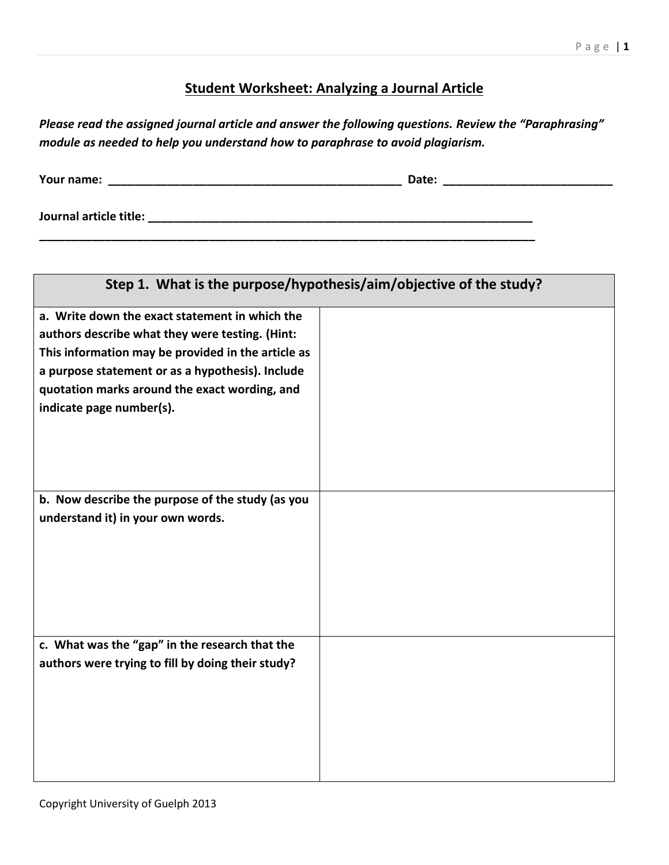## **Student Worksheet: Analyzing a Journal Article**

| Please read the assigned journal article and answer the following questions. Review the "Paraphrasing" |
|--------------------------------------------------------------------------------------------------------|
| module as needed to help you understand how to paraphrase to avoid plagiarism.                         |

**Your name: \_\_\_\_\_\_\_\_\_\_\_\_\_\_\_\_\_\_\_\_\_\_\_\_\_\_\_\_\_\_\_\_\_\_\_\_\_\_\_\_\_\_\_\_\_ Date: \_\_\_\_\_\_\_\_\_\_\_\_\_\_\_\_\_\_\_\_\_\_\_\_\_\_**

**Journal article title: \_\_\_\_\_\_\_\_\_\_\_\_\_\_\_\_\_\_\_\_\_\_\_\_\_\_\_\_\_\_\_\_\_\_\_\_\_\_\_\_\_\_\_\_\_\_\_\_\_\_\_\_\_\_\_\_\_\_\_**

| Step 1. What is the purpose/hypothesis/aim/objective of the study?                                                                                                                                                                                                                       |  |  |
|------------------------------------------------------------------------------------------------------------------------------------------------------------------------------------------------------------------------------------------------------------------------------------------|--|--|
| a. Write down the exact statement in which the<br>authors describe what they were testing. (Hint:<br>This information may be provided in the article as<br>a purpose statement or as a hypothesis). Include<br>quotation marks around the exact wording, and<br>indicate page number(s). |  |  |
| b. Now describe the purpose of the study (as you<br>understand it) in your own words.                                                                                                                                                                                                    |  |  |
| c. What was the "gap" in the research that the<br>authors were trying to fill by doing their study?                                                                                                                                                                                      |  |  |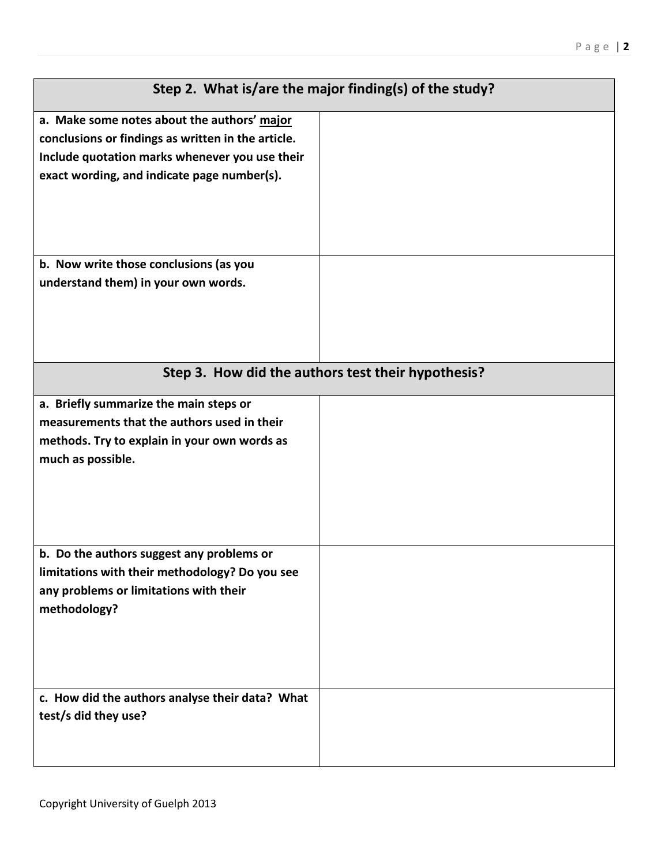|                                                    | Step 2. What is/are the major finding(s) of the study? |  |
|----------------------------------------------------|--------------------------------------------------------|--|
| a. Make some notes about the authors' major        |                                                        |  |
| conclusions or findings as written in the article. |                                                        |  |
| Include quotation marks whenever you use their     |                                                        |  |
| exact wording, and indicate page number(s).        |                                                        |  |
|                                                    |                                                        |  |
|                                                    |                                                        |  |
|                                                    |                                                        |  |
| b. Now write those conclusions (as you             |                                                        |  |
| understand them) in your own words.                |                                                        |  |
|                                                    |                                                        |  |
|                                                    |                                                        |  |
|                                                    |                                                        |  |
|                                                    |                                                        |  |
| Step 3. How did the authors test their hypothesis? |                                                        |  |
| a. Briefly summarize the main steps or             |                                                        |  |
| measurements that the authors used in their        |                                                        |  |
| methods. Try to explain in your own words as       |                                                        |  |
| much as possible.                                  |                                                        |  |
|                                                    |                                                        |  |
|                                                    |                                                        |  |
|                                                    |                                                        |  |
|                                                    |                                                        |  |
| b. Do the authors suggest any problems or          |                                                        |  |
| limitations with their methodology? Do you see     |                                                        |  |
| any problems or limitations with their             |                                                        |  |
| methodology?                                       |                                                        |  |
|                                                    |                                                        |  |
|                                                    |                                                        |  |
|                                                    |                                                        |  |
| c. How did the authors analyse their data? What    |                                                        |  |
| test/s did they use?                               |                                                        |  |
|                                                    |                                                        |  |
|                                                    |                                                        |  |
|                                                    |                                                        |  |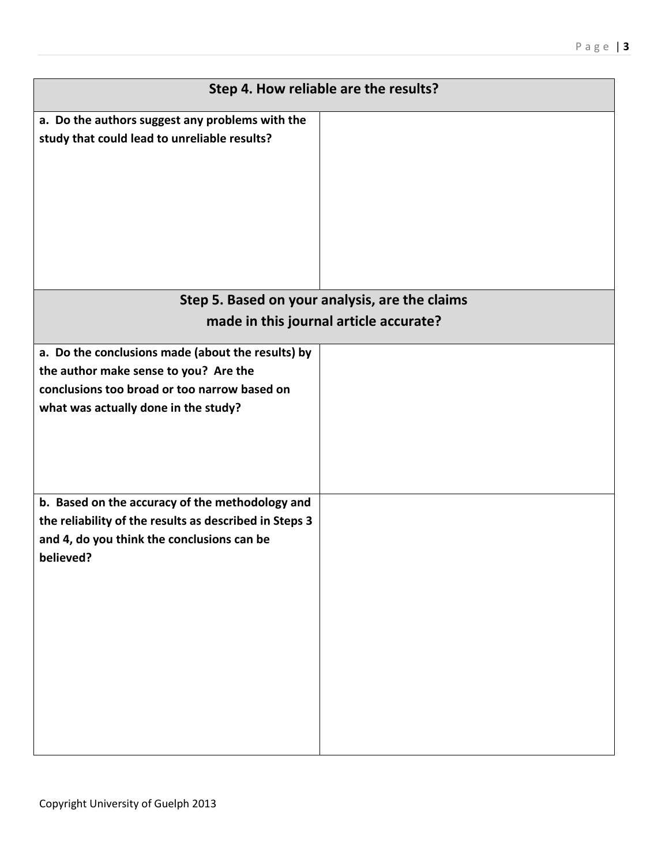| Step 4. How reliable are the results?                                                                                                                                              |  |  |
|------------------------------------------------------------------------------------------------------------------------------------------------------------------------------------|--|--|
| a. Do the authors suggest any problems with the<br>study that could lead to unreliable results?                                                                                    |  |  |
|                                                                                                                                                                                    |  |  |
| Step 5. Based on your analysis, are the claims<br>made in this journal article accurate?                                                                                           |  |  |
|                                                                                                                                                                                    |  |  |
| a. Do the conclusions made (about the results) by<br>the author make sense to you? Are the<br>conclusions too broad or too narrow based on<br>what was actually done in the study? |  |  |
| b. Based on the accuracy of the methodology and<br>the reliability of the results as described in Steps 3<br>and 4, do you think the conclusions can be<br>believed?               |  |  |